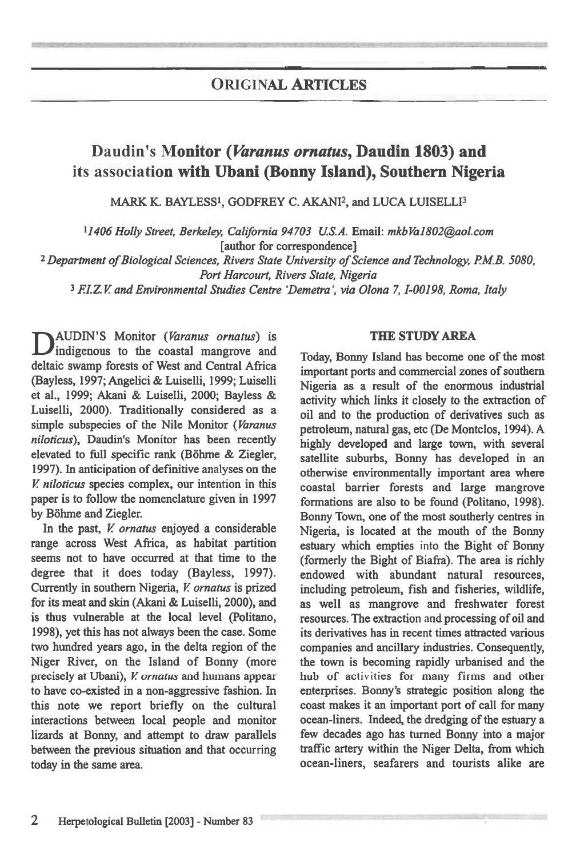## **ORIGINAL ARTICLES**

# **Daudin's Monitor** *(Varanus ornatus,* **Daudin 1803) and its association with Ubani (Bonny Island), Southern Nigeria**

MARK K. BAYLESS', GODFREY C. AKANI2, and LUCA LUISELLI3

*<sup>1</sup>1406 Holly Street, Berkeley, California 94703 U.S.A. Email: mkbVa1802@aol.com*  [author for correspondence]

<sup>2</sup>*Department of Biological Sciences, Rivers State University of Science and Technology, P.M.B. 5080, Port Harcourt, Rivers State, Nigeria* 

3 *ELZ.V and Environmental Studies Centre Demetra, via Olona 7,1-00198, Roma, Italy* 

D AUDIN'S Monitor *(Varanus ornatus) is*  indigenous to the coastal mangrove and deltaic swamp forests of West and Central Africa (Bayless, 1997; Angelici & Luiselli, 1999; Luiselli et al., 1999; Akani & Luiselli, 2000; Bayless & Luiselli, 2000). Traditionally considered as a simple subspecies of the Nile Monitor *(Varanus niloticus),* Daudin's Monitor has been recently elevated to full specific rank (Böhme & Ziegler, 1997). In anticipation of definitive analyses on the *V niloticus* species complex, our intention in this paper is to follow the nomenclature given in 1997 by Böhme and Ziegler.

In the past, *V ornatus* enjoyed a considerable range across West Africa, as habitat partition seems not to have occurred at that time to the degree that it does today (Bayless, 1997). Currently in southern Nigeria, *V ornatus* is prized for its meat and skin (Akani & Luiselli, 2000), and is thus vulnerable at the local level (Politano, 1998), yet this has not always been the case. Some two hundred years ago, in the delta region of the Niger River, on the Island of Bonny (more precisely at Ubani), *V ornatus* and humans appear to have co-existed in a non-aggressive fashion. In this note we report briefly on the cultural interactions between local people and monitor lizards at Bonny, and attempt to draw parallels between the previous situation and that occurring today in the same area.

#### THE STUDY AREA

Today, Bonny Island has become one of the most important ports and commercial zones of southern Nigeria as a result of the enormous industrial activity which links it closely to the extraction of oil and to the production of derivatives such as petroleum, natural gas, etc (De Montclos, 1994). A highly developed and large town, with several satellite suburbs, Bonny has developed in an otherwise environmentally important area where coastal barrier forests and large mangrove formations are also to be found (Politano, 1998). Bonny Town, one of the most southerly centres in Nigeria, is located at the mouth of the Bonny estuary which empties into the Bight of Bonny (formerly the Bight of Biafra). The area is richly endowed with abundant natural resources, including petroleum, fish and fisheries, wildlife, as well as mangrove and freshwater forest resources. The extraction and processing of oil and its derivatives has in recent times attracted various companies and ancillary industries. Consequently, the town is becoming rapidly urbanised and the hub of activities for many firms and other enterprises. Bonny's strategic position along the coast makes it an important port of call for many ocean-liners. Indeed, the dredging of the estuary a few decades ago has turned Bonny into a major traffic artery within the Niger Delta, from which ocean-liners, seafarers and tourists alike are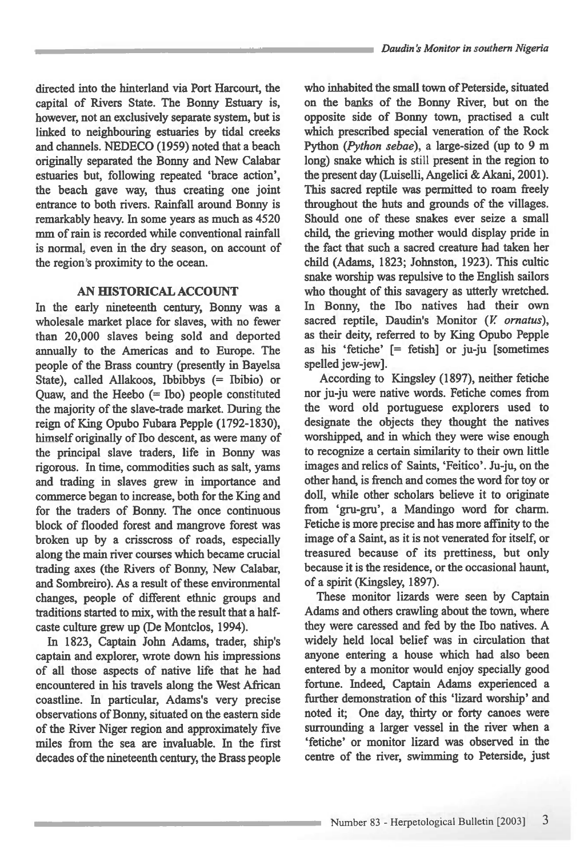**directed into the hinterland via Port Harcourt, the capital of Rivers State. The Bonny Estuary is, however, not an exclusively separate system, but is linked to neighbouring estuaries by tidal creeks and channels. NEDECO (1959) noted that a beach originally separated the Bonny and New Calabar estuaries but, following repeated 'brace action', the beach gave way, thus creating one joint entrance to both rivers. Rainfall around Bonny is remarkably heavy. In some years as much as 4520 mm of rain is recorded while conventional rainfall is normal, even in the dry season, on account of the region's proximity to the ocean.** 

### **AN HISTORICAL ACCOUNT**

**In the early nineteenth century, Bonny was a wholesale market place for slaves, with no fewer than 20,000 slaves being sold and deported annually to the Americas and to Europe. The people of the Brass country (presently in Bayelsa State), called Allakoos, Ibbibbys (= Ibibio) or Quaw, and the Heebo (= Ibo) people constituted the majority of the slave-trade market. During the reign of King Opubo Fubara Pepple (1792-1830), himself originally of Ibo descent, as were many of the principal slave traders, life in Bonny was rigorous. In time, commodities such as salt, yams and trading in slaves grew in importance and commerce began to increase, both for the King and for the traders of Bonny. The once continuous block of flooded forest and mangrove forest was broken up by a crisscross of roads, especially along the main river courses which became crucial trading axes (the Rivers of Bonny, New Calabar, and Sombreiro). As a result of these environmental changes, people of different ethnic groups and traditions started to mix, with the result that a halfcaste culture grew up (De Montclos, 1994).** 

**In 1823, Captain John Adams, trader, ship's captain and explorer, wrote down his impressions of all those aspects of native life that he had encountered in his travels along the West African coastline. In particular, Adams's very precise observations of Bonny, situated on the eastern side of the River Niger region and approximately five miles from the sea are invaluable. In the first decades of the nineteenth century, the Brass people**  **who inhabited the small town of Peterside, situated on the banks of the Bonny River, but on the opposite side of Bonny town, practised a cult which prescribed special veneration of the Rock Python** *(Python sebae), a* **large-sized (up to 9 m long) snake which is still present in the region to the present day (Luiselli, Angelici & Akani, 2001). This sacred reptile was permitted to roam freely throughout the huts and grounds of the villages. Should one of these snakes ever seize a small child, the grieving mother would display pride in the fact that such a sacred creature had taken her child (Adams, 1823; Johnston, 1923). This cultic snake worship was repulsive to the English sailors who thought of this savagery as utterly wretched. In Bonny, the Ibo natives had their own**  sacred reptile, Daudin's Monitor (V. ornatus), **as their deity, referred to by King Opubo Pepple as his `fetiche' [= fetish] or ju-ju [sometimes spelled jew-jew].** 

**According to Kingsley (1897), neither fetiche nor ju-ju were native words. Fetiche comes from the word old portuguese explorers used to designate the objects they thought the natives worshipped, and in which they were wise enough to recognize a certain similarity to their own little**  images and relics of Saints, 'Feitico'. Ju-ju, on the **other hand, is french and comes the word for toy or doll, while other scholars believe it to originate from `gru-gru', a Mandingo word for charm. Fetiche is more precise and has more affinity to the image of a Saint, as it is not venerated for itself, or treasured because of its prettiness, but only because it is the residence, or the occasional haunt, of a spirit (Kingsley, 1897).** 

**These monitor lizards were seen by Captain Adams and others crawling about the town, where they were caressed and fed by the Ibo natives. A widely held local belief was in circulation that anyone entering a house which had also been entered by a monitor would enjoy specially good fortune. Indeed, Captain Adams experienced a further demonstration of this 'lizard worship' and noted it; One day, thirty or forty canoes were surrounding a larger vessel in the river when a `fetiche' or monitor lizard was observed in the centre of the river, swimming to Peterside, just**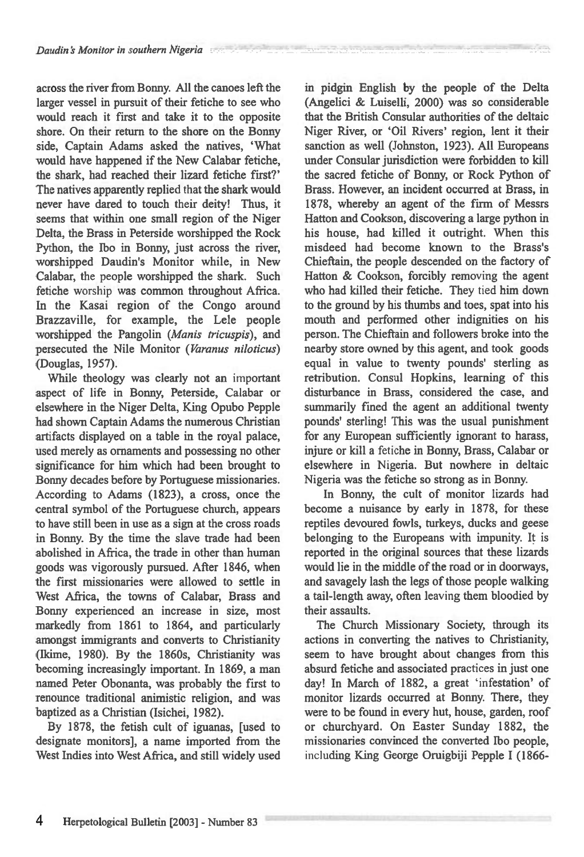across the river from Bonny. All the canoes left the larger vessel in pursuit of their fetiche to see who would reach it first and take it to the opposite shore. On their return to the shore on the Bonny side, Captain Adams asked the natives, 'What would have happened if the New Calabar fetiche, the shark, had reached their lizard fetiche first?' The natives apparently replied that the shark would never have dared to touch their deity! Thus, it seems that within one small region of the Niger Delta, the Brass in Peterside worshipped the Rock Python, the Ibo in Bonny, just across the river, worshipped Daudin's Monitor while, in New Calabar, the people worshipped the shark. Such fetiche worship was common throughout Africa. In the Kasai region of the Congo around Brazzaville, for example, the Lele people worshipped the Pangolin (Manis tricuspis), and persecuted the Nile Monitor (Varanus niloticus) (Douglas, 1957).

While theology was clearly not an important aspect of life in Bonny, Peterside, Calabar or elsewhere in the Niger Delta, King Opubo Pepple had shown Captain Adams the numerous Christian artifacts displayed on a table in the royal palace, used merely as ornaments and possessing no other significance for him which had been brought to Bonny decades before by Portuguese missionaries. According to Adams (1823), a cross, once the central symbol of the Portuguese church, appears to have still been in use as a sign at the cross roads in Bonny. By the time the slave trade had been abolished in Africa, the trade in other than human goods was vigorously pursued. After 1846, when the first missionaries were allowed to settle in West Africa, the towns of Calabar, Brass and Bonny experienced an increase in size, most markedly from 1861 to 1864, and particularly amongst immigrants and converts to Christianity (Ikime, 1980). By the 1860s, Christianity was becoming increasingly important. In 1869, a man named Peter Obonanta, was probably the first to renounce traditional animistic religion, and was baptized as a Christian (Isichei, 1982).

By 1878, the fetish cult of iguanas, [used to designate monitors], a name imported from the West Indies into West Africa, and still widely used in pidgin English by the people of the Delta (Angelici & Luiselli, 2000) was so considerable that the British Consular authorities of the deltaic Niger River, or 'Oil Rivers' region, lent it their sanction as well (Johnston, 1923). All Europeans under Consular jurisdiction were forbidden to kill the sacred fetiche of Bonny, or Rock Python of Brass. However, an incident occurred at Brass, in 1878, whereby an agent of the firm of Messrs Hatton and Cookson, discovering a large python in his house, had killed it outright. When this misdeed had become known to the Brass's Chieftain, the people descended on the factory of Hatton & Cookson, forcibly removing the agent who had killed their fetiche. They tied him down to the ground by his thumbs and toes, spat into his mouth and performed other indignities on his person. The Chieftain and followers broke into the nearby store owned by this agent, and took goods equal in value to twenty pounds' sterling as retribution. Consul Hopkins, learning of this disturbance in Brass, considered the case, and summarily fined the agent an additional twenty pounds' sterling! This was the usual punishment for any European sufficiently ignorant to harass, injure or kill a fetiche in Bonny, Brass, Calabar or elsewhere in Nigeria. But nowhere in deltaic Nigeria was the fetiche so strong as in Bonny.

In Bonny, the cult of monitor lizards had become a nuisance by early in 1878, for these reptiles devoured fowls, turkeys, ducks and geese belonging to the Europeans with impunity. It is reported in the original sources that these lizards would lie in the middle of the road or in doorways, and savagely lash the legs of those people walking a tail-length away, often leaving them bloodied by their assaults.

The Church Missionary Society, through its actions in converting the natives to Christianity, seem to have brought about changes from this absurd fetiche and associated practices in just one day! In March of 1882, a great 'infestation' of monitor lizards occurred at Bonny. There, they were to be found in every hut, house, garden, roof or churchyard. On Easter Sunday 1882, the missionaries convinced the converted Ibo people, including King George Oruigbiji Pepple I (1866-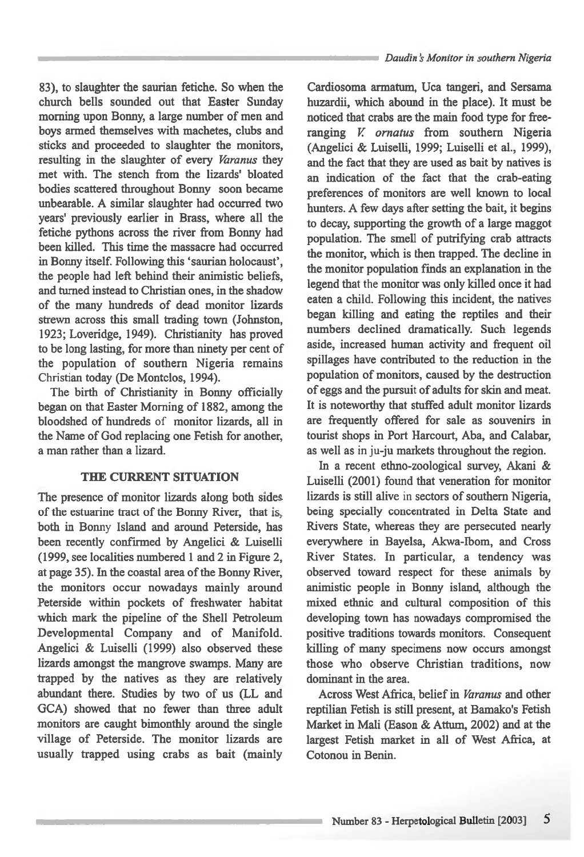**83), to slaughter the saurian fetiche. So when the church bells sounded out that Easter Sunday morning upon Bonny, a large number of men and boys armed themselves with machetes, clubs and sticks and proceeded to slaughter the monitors, resulting in the slaughter of every** *Varanus* **they met with. The stench from the lizards' bloated bodies scattered throughout Bonny soon became unbearable. A similar slaughter had occurred two years' previously earlier in Brass, where all the fetiche pythons across the river from Bonny had been killed. This time the massacre had occurred in Bonny itself. Following this 'saurian holocaust', the people had left behind their animistic beliefs, and turned instead to Christian ones, in the shadow of the many hundreds of dead monitor lizards strewn across this small trading town (Johnston, 1923; Loveridge, 1949). Christianity has proved to be long lasting, for more than ninety per cent of the population of southern Nigeria remains Christian today (De Montclos, 1994).** 

**The birth of Christianity in Bonny officially began on that Easter Morning of 1882, among the bloodshed of hundreds** of **monitor lizards, all in the Name of God replacing one Fetish for another, a man rather than a lizard.** 

### **THE CURRENT SITUATION**

**The presence of monitor lizards along both sides of the estuarine tract of the Bonny River, that is, both in Bonny Island and around Peterside, has been recently confirmed by Angelici & Luiselli (1999, see localities numbered 1 and 2 in Figure 2, at page 35). In the coastal area of the Bonny River, the monitors occur nowadays mainly around Peterside within pockets of freshwater habitat which mark the pipeline of the Shell Petroleum Developmental Company and of Manifold. Angelici & Luiselli (1999) also observed these lizards amongst the mangrove swamps. Many are trapped by the natives as they are relatively abundant there. Studies by two of us (LL and GCA) showed that no fewer than three adult monitors are caught bimonthly around the single village of Peterside. The monitor lizards are usually trapped using crabs as bait (mainly** 

**Cardiosoma armatum, Uca tangeri, and Sersama huzardii, which abound in the place). It must be noticed that crabs are the main food type for freeranging** *V ornatus* **from southern Nigeria (Angelici & Luiselli, 1999; Luiselli et al., 1999), and the fact that they are used as bait by natives is an indication of the fact that the crab-eating preferences of monitors are well known to local hunters. A few days after setting the bait, it begins to decay, supporting the growth of a large maggot population. The smell of putrifying crab attracts the monitor, which is then trapped. The decline in the monitor population finds an explanation in the legend that** the **monitor was only killed once it had eaten a child. Following this incident, the natives began killing and eating the reptiles and their numbers declined dramatically. Such legends aside, increased human activity and frequent oil spillages have contributed to the reduction in the population of monitors, caused by the destruction of eggs and the pursuit of adults for skin and meat. It is noteworthy that stuffed adult monitor lizards are frequently offered for sale as souvenirs in tourist shops in Port Harcourt, Aba, and Calabar,**  as well as in ju-ju markets throughout the region.

**In a recent ethno-zoological survey, Akani & Luiselli (2001) found that veneration for monitor lizards is still alive in sectors of southern Nigeria, being specially concentrated in Delta State and Rivers State, whereas they are persecuted nearly everywhere in Bayelsa, Akwa-Ibom, and Cross River States. In particular, a tendency was observed toward respect for these animals by animistic people in Bonny island, although the mixed ethnic and cultural composition of this developing town has nowadays compromised the positive traditions towards monitors. Consequent killing of many specimens now occurs amongst those who observe Christian traditions, now dominant in the area.** 

**Across West Africa, belief in** *Varanus* **and other reptilian Fetish is still present, at Bamako's Fetish Market in Mali (Eason & Attum, 2002) and at the largest Fetish market in all of West Africa, at Cotonou in Benin.**